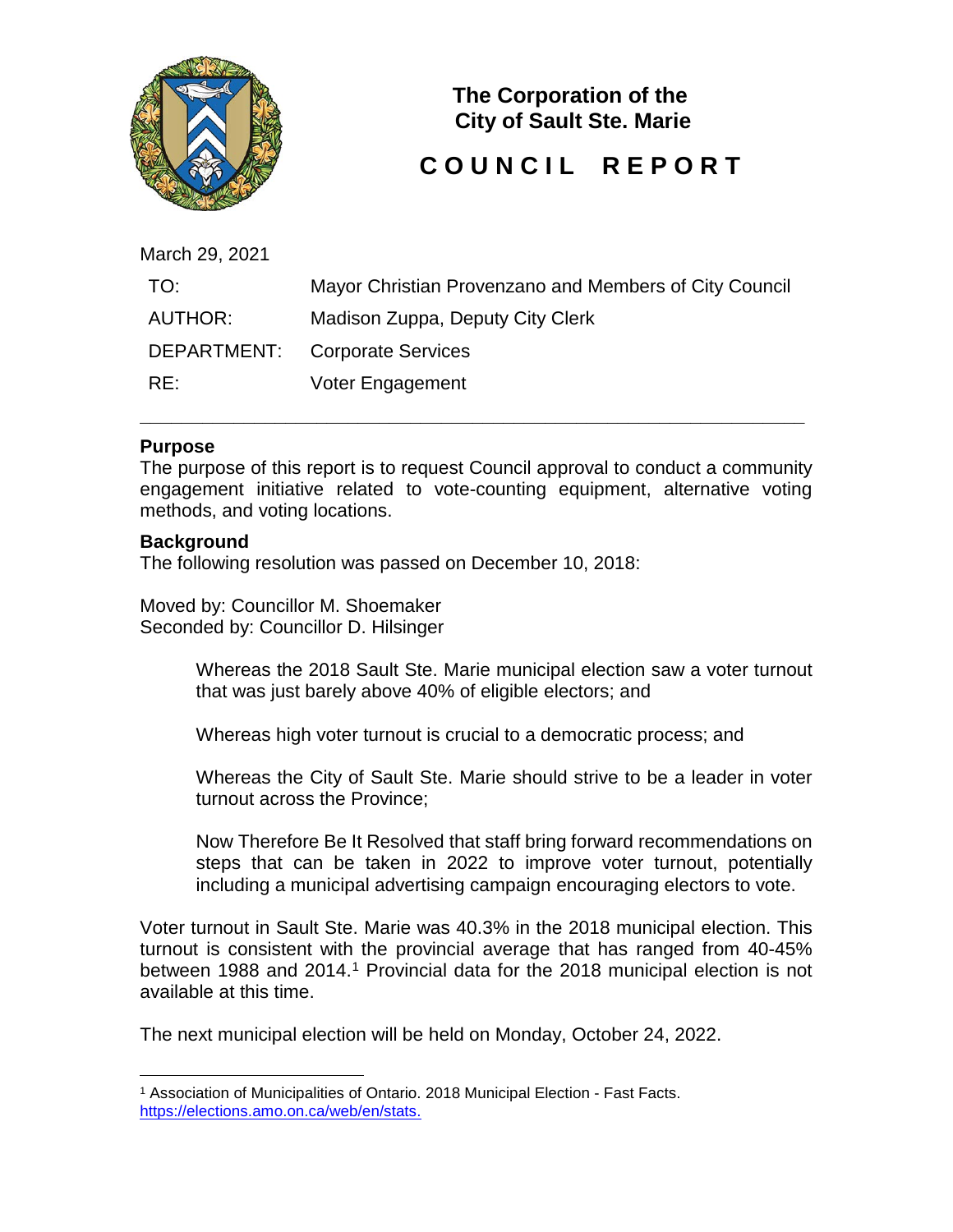

**The Corporation of the City of Sault Ste. Marie**

# **COUNCIL REPORT**

March 29, 2021

| TO:     | Mayor Christian Provenzano and Members of City Council |
|---------|--------------------------------------------------------|
| AUTHOR: | Madison Zuppa, Deputy City Clerk                       |
|         | DEPARTMENT: Corporate Services                         |
| RE:     | Voter Engagement                                       |

**\_\_\_\_\_\_\_\_\_\_\_\_\_\_\_\_\_\_\_\_\_\_\_\_\_\_\_\_\_\_\_\_\_\_\_\_\_\_\_\_\_\_\_\_\_\_\_\_\_\_\_\_\_\_\_\_\_\_\_\_\_\_\_\_**

### **Purpose**

The purpose of this report is to request Council approval to conduct a community engagement initiative related to vote-counting equipment, alternative voting methods, and voting locations.

### **Background**

The following resolution was passed on December 10, 2018:

Moved by: Councillor M. Shoemaker Seconded by: Councillor D. Hilsinger

> Whereas the 2018 Sault Ste. Marie municipal election saw a voter turnout that was just barely above 40% of eligible electors; and

Whereas high voter turnout is crucial to a democratic process; and

Whereas the City of Sault Ste. Marie should strive to be a leader in voter turnout across the Province;

Now Therefore Be It Resolved that staff bring forward recommendations on steps that can be taken in 2022 to improve voter turnout, potentially including a municipal advertising campaign encouraging electors to vote.

Voter turnout in Sault Ste. Marie was 40.3% in the 2018 municipal election. This turnout is consistent with the provincial average that has ranged from 40-45% between [1](#page-0-0)988 and 2014.<sup>1</sup> Provincial data for the 2018 municipal election is not available at this time.

The next municipal election will be held on Monday, October 24, 2022.

<span id="page-0-0"></span> <sup>1</sup> Association of Municipalities of Ontario. 2018 Municipal Election - Fast Facts. [https://elections.amo.on.ca/web/en/stats.](https://elections.amo.on.ca/web/en/stats)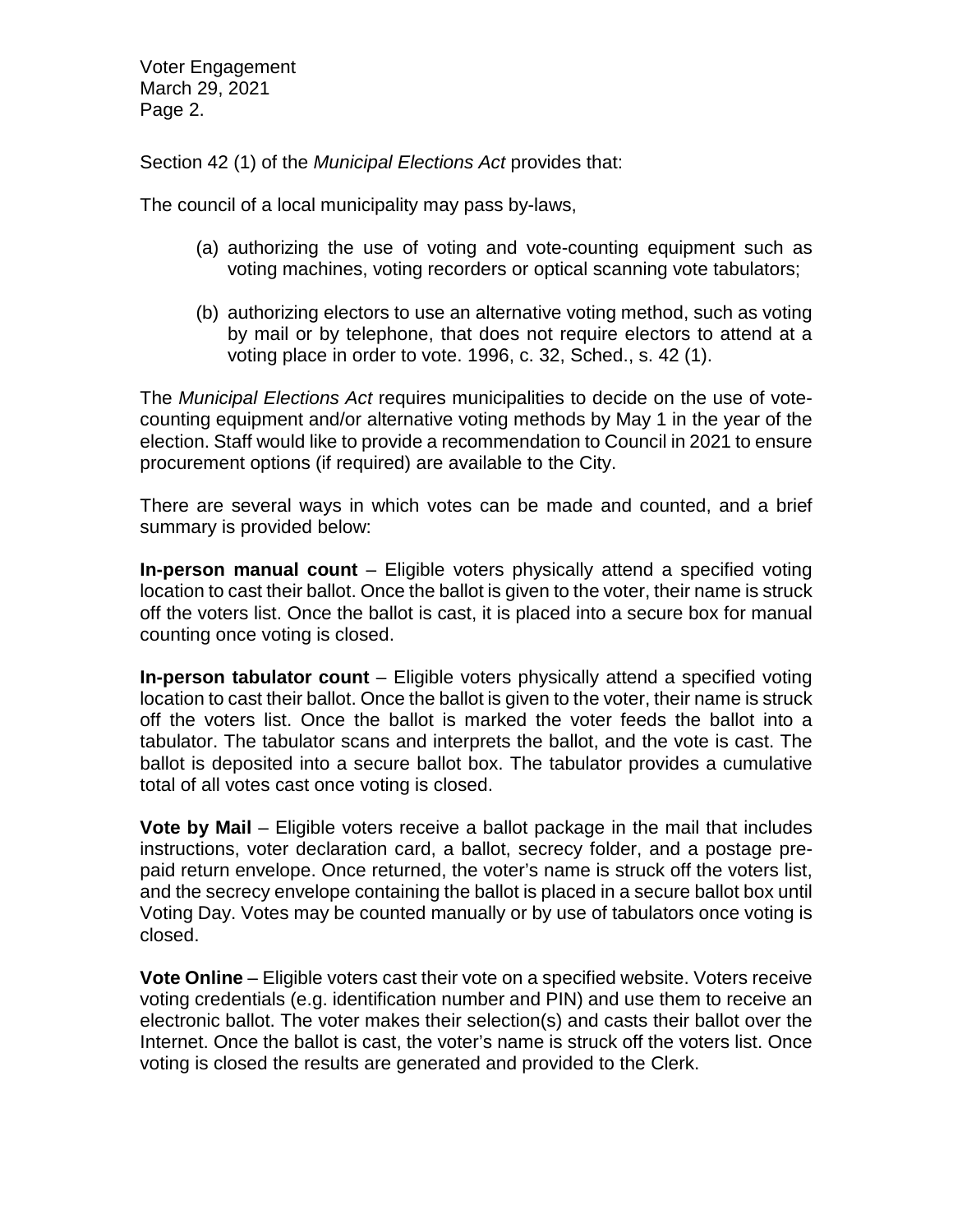Voter Engagement March 29, 2021 Page 2.

Section 42 (1) of the *Municipal Elections Act* provides that:

The council of a local municipality may pass by-laws,

- (a) authorizing the use of voting and vote-counting equipment such as voting machines, voting recorders or optical scanning vote tabulators;
- (b) authorizing electors to use an alternative voting method, such as voting by mail or by telephone, that does not require electors to attend at a voting place in order to vote. 1996, c. 32, Sched., s. 42 (1).

The *Municipal Elections Act* requires municipalities to decide on the use of votecounting equipment and/or alternative voting methods by May 1 in the year of the election. Staff would like to provide a recommendation to Council in 2021 to ensure procurement options (if required) are available to the City.

There are several ways in which votes can be made and counted, and a brief summary is provided below:

**In-person manual count** – Eligible voters physically attend a specified voting location to cast their ballot. Once the ballot is given to the voter, their name is struck off the voters list. Once the ballot is cast, it is placed into a secure box for manual counting once voting is closed.

**In-person tabulator count** – Eligible voters physically attend a specified voting location to cast their ballot. Once the ballot is given to the voter, their name is struck off the voters list. Once the ballot is marked the voter feeds the ballot into a tabulator. The tabulator scans and interprets the ballot, and the vote is cast. The ballot is deposited into a secure ballot box. The tabulator provides a cumulative total of all votes cast once voting is closed.

**Vote by Mail** – Eligible voters receive a ballot package in the mail that includes instructions, voter declaration card, a ballot, secrecy folder, and a postage prepaid return envelope. Once returned, the voter's name is struck off the voters list, and the secrecy envelope containing the ballot is placed in a secure ballot box until Voting Day. Votes may be counted manually or by use of tabulators once voting is closed.

**Vote Online** – Eligible voters cast their vote on a specified website. Voters receive voting credentials (e.g. identification number and PIN) and use them to receive an electronic ballot. The voter makes their selection(s) and casts their ballot over the Internet. Once the ballot is cast, the voter's name is struck off the voters list. Once voting is closed the results are generated and provided to the Clerk.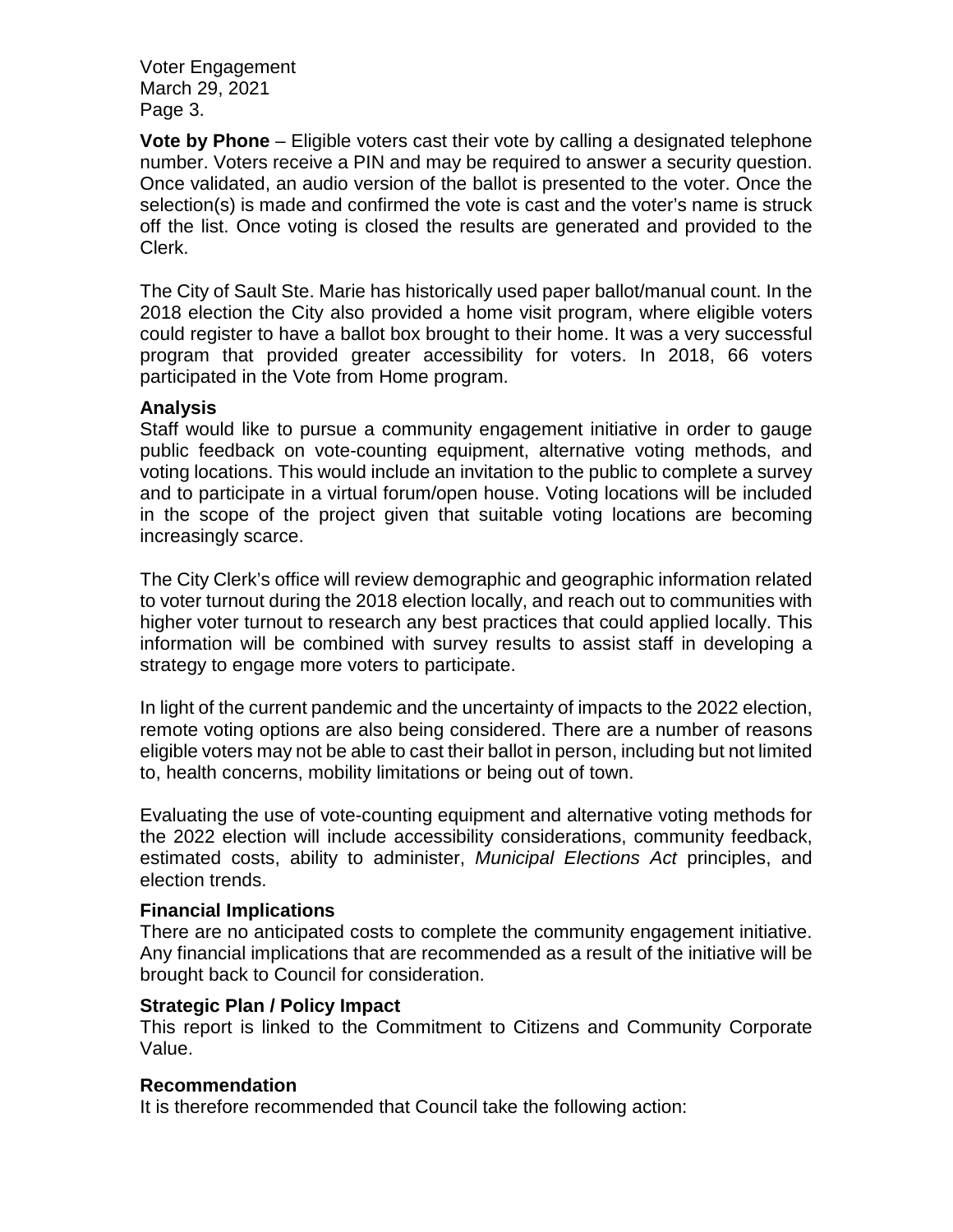Voter Engagement March 29, 2021 Page 3.

**Vote by Phone** – Eligible voters cast their vote by calling a designated telephone number. Voters receive a PIN and may be required to answer a security question. Once validated, an audio version of the ballot is presented to the voter. Once the selection(s) is made and confirmed the vote is cast and the voter's name is struck off the list. Once voting is closed the results are generated and provided to the Clerk.

The City of Sault Ste. Marie has historically used paper ballot/manual count. In the 2018 election the City also provided a home visit program, where eligible voters could register to have a ballot box brought to their home. It was a very successful program that provided greater accessibility for voters. In 2018, 66 voters participated in the Vote from Home program.

### **Analysis**

Staff would like to pursue a community engagement initiative in order to gauge public feedback on vote-counting equipment, alternative voting methods, and voting locations. This would include an invitation to the public to complete a survey and to participate in a virtual forum/open house. Voting locations will be included in the scope of the project given that suitable voting locations are becoming increasingly scarce.

The City Clerk's office will review demographic and geographic information related to voter turnout during the 2018 election locally, and reach out to communities with higher voter turnout to research any best practices that could applied locally. This information will be combined with survey results to assist staff in developing a strategy to engage more voters to participate.

In light of the current pandemic and the uncertainty of impacts to the 2022 election, remote voting options are also being considered. There are a number of reasons eligible voters may not be able to cast their ballot in person, including but not limited to, health concerns, mobility limitations or being out of town.

Evaluating the use of vote-counting equipment and alternative voting methods for the 2022 election will include accessibility considerations, community feedback, estimated costs, ability to administer, *Municipal Elections Act* principles, and election trends.

# **Financial Implications**

There are no anticipated costs to complete the community engagement initiative. Any financial implications that are recommended as a result of the initiative will be brought back to Council for consideration.

#### **Strategic Plan / Policy Impact**

This report is linked to the Commitment to Citizens and Community Corporate Value.

# **Recommendation**

It is therefore recommended that Council take the following action: